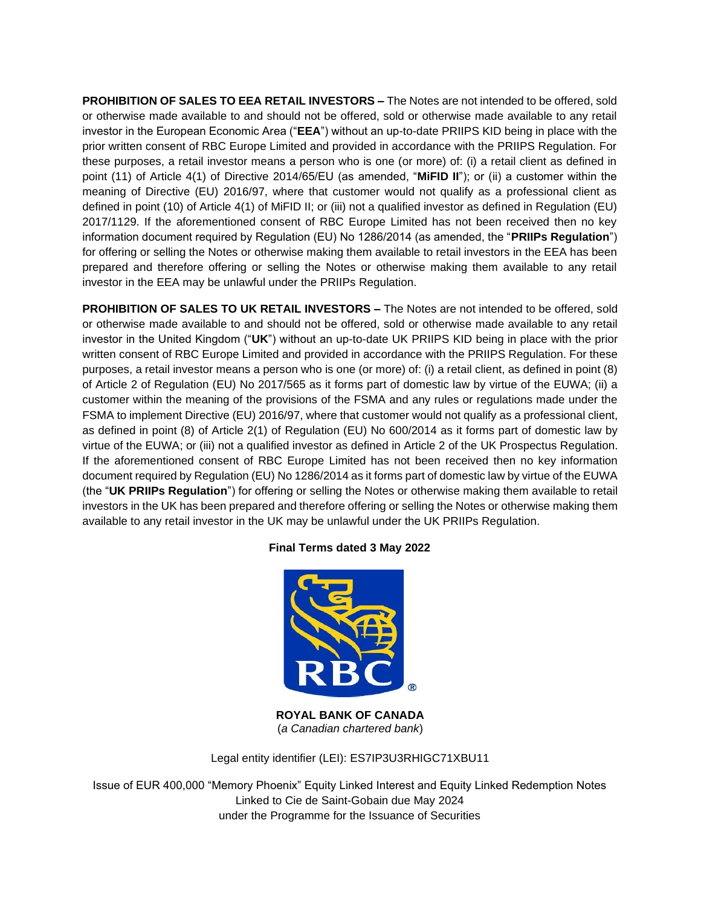**PROHIBITION OF SALES TO EEA RETAIL INVESTORS –** The Notes are not intended to be offered, sold or otherwise made available to and should not be offered, sold or otherwise made available to any retail investor in the European Economic Area ("**EEA**") without an up-to-date PRIIPS KID being in place with the prior written consent of RBC Europe Limited and provided in accordance with the PRIIPS Regulation. For these purposes, a retail investor means a person who is one (or more) of: (i) a retail client as defined in point (11) of Article 4(1) of Directive 2014/65/EU (as amended, "**MiFID II**"); or (ii) a customer within the meaning of Directive (EU) 2016/97, where that customer would not qualify as a professional client as defined in point (10) of Article 4(1) of MiFID II; or (iii) not a qualified investor as defined in Regulation (EU) 2017/1129. If the aforementioned consent of RBC Europe Limited has not been received then no key information document required by Regulation (EU) No 1286/2014 (as amended, the "**PRIIPs Regulation**") for offering or selling the Notes or otherwise making them available to retail investors in the EEA has been prepared and therefore offering or selling the Notes or otherwise making them available to any retail investor in the EEA may be unlawful under the PRIIPs Regulation.

**PROHIBITION OF SALES TO UK RETAIL INVESTORS –** The Notes are not intended to be offered, sold or otherwise made available to and should not be offered, sold or otherwise made available to any retail investor in the United Kingdom ("**UK**") without an up-to-date UK PRIIPS KID being in place with the prior written consent of RBC Europe Limited and provided in accordance with the PRIIPS Regulation. For these purposes, a retail investor means a person who is one (or more) of: (i) a retail client, as defined in point (8) of Article 2 of Regulation (EU) No 2017/565 as it forms part of domestic law by virtue of the EUWA; (ii) a customer within the meaning of the provisions of the FSMA and any rules or regulations made under the FSMA to implement Directive (EU) 2016/97, where that customer would not qualify as a professional client, as defined in point (8) of Article 2(1) of Regulation (EU) No 600/2014 as it forms part of domestic law by virtue of the EUWA; or (iii) not a qualified investor as defined in Article 2 of the UK Prospectus Regulation. If the aforementioned consent of RBC Europe Limited has not been received then no key information document required by Regulation (EU) No 1286/2014 as it forms part of domestic law by virtue of the EUWA (the "**UK PRIIPs Regulation**") for offering or selling the Notes or otherwise making them available to retail investors in the UK has been prepared and therefore offering or selling the Notes or otherwise making them available to any retail investor in the UK may be unlawful under the UK PRIIPs Regulation.

## **Final Terms dated 3 May 2022**



**ROYAL BANK OF CANADA** (*a Canadian chartered bank*)

Legal entity identifier (LEI): ES7IP3U3RHIGC71XBU11

Issue of EUR 400,000 "Memory Phoenix" Equity Linked Interest and Equity Linked Redemption Notes Linked to Cie de Saint-Gobain due May 2024 under the Programme for the Issuance of Securities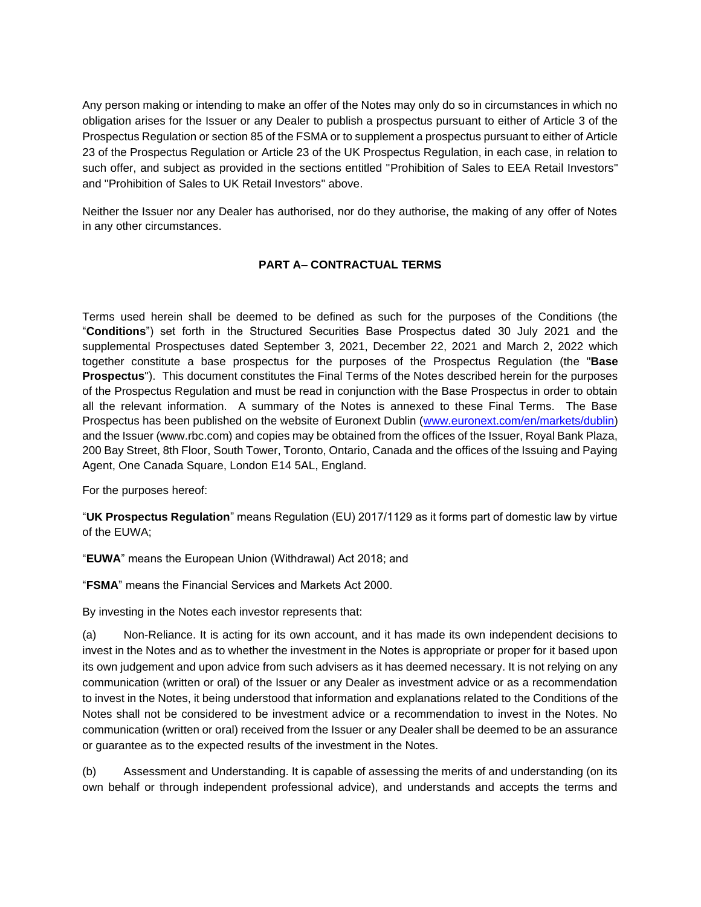Any person making or intending to make an offer of the Notes may only do so in circumstances in which no obligation arises for the Issuer or any Dealer to publish a prospectus pursuant to either of Article 3 of the Prospectus Regulation or section 85 of the FSMA or to supplement a prospectus pursuant to either of Article 23 of the Prospectus Regulation or Article 23 of the UK Prospectus Regulation, in each case, in relation to such offer, and subject as provided in the sections entitled "Prohibition of Sales to EEA Retail Investors" and "Prohibition of Sales to UK Retail Investors" above.

Neither the Issuer nor any Dealer has authorised, nor do they authorise, the making of any offer of Notes in any other circumstances.

## **PART A– CONTRACTUAL TERMS**

Terms used herein shall be deemed to be defined as such for the purposes of the Conditions (the "**Conditions**") set forth in the Structured Securities Base Prospectus dated 30 July 2021 and the supplemental Prospectuses dated September 3, 2021, December 22, 2021 and March 2, 2022 which together constitute a base prospectus for the purposes of the Prospectus Regulation (the "**Base Prospectus**"). This document constitutes the Final Terms of the Notes described herein for the purposes of the Prospectus Regulation and must be read in conjunction with the Base Prospectus in order to obtain all the relevant information. A summary of the Notes is annexed to these Final Terms. The Base Prospectus has been published on the website of Euronext Dublin [\(www.euronext.com/en/markets/dublin\)](http://www.euronext.com/en/markets/dublin) and the Issuer (www.rbc.com) and copies may be obtained from the offices of the Issuer, Royal Bank Plaza, 200 Bay Street, 8th Floor, South Tower, Toronto, Ontario, Canada and the offices of the Issuing and Paying Agent, One Canada Square, London E14 5AL, England.

For the purposes hereof:

"**UK Prospectus Regulation**" means Regulation (EU) 2017/1129 as it forms part of domestic law by virtue of the EUWA;

"**EUWA**" means the European Union (Withdrawal) Act 2018; and

"**FSMA**" means the Financial Services and Markets Act 2000.

By investing in the Notes each investor represents that:

(a) Non-Reliance. It is acting for its own account, and it has made its own independent decisions to invest in the Notes and as to whether the investment in the Notes is appropriate or proper for it based upon its own judgement and upon advice from such advisers as it has deemed necessary. It is not relying on any communication (written or oral) of the Issuer or any Dealer as investment advice or as a recommendation to invest in the Notes, it being understood that information and explanations related to the Conditions of the Notes shall not be considered to be investment advice or a recommendation to invest in the Notes. No communication (written or oral) received from the Issuer or any Dealer shall be deemed to be an assurance or guarantee as to the expected results of the investment in the Notes.

(b) Assessment and Understanding. It is capable of assessing the merits of and understanding (on its own behalf or through independent professional advice), and understands and accepts the terms and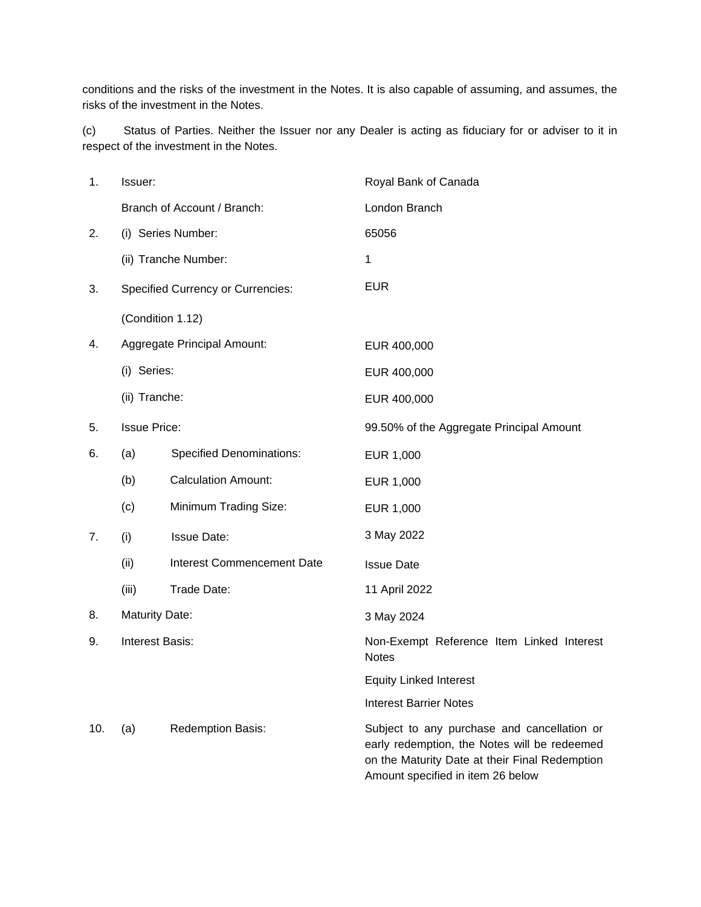conditions and the risks of the investment in the Notes. It is also capable of assuming, and assumes, the risks of the investment in the Notes.

(c) Status of Parties. Neither the Issuer nor any Dealer is acting as fiduciary for or adviser to it in respect of the investment in the Notes.

| 1.  | Issuer:               |                                          | Royal Bank of Canada                                                                                                                                                               |  |
|-----|-----------------------|------------------------------------------|------------------------------------------------------------------------------------------------------------------------------------------------------------------------------------|--|
|     |                       | Branch of Account / Branch:              | London Branch                                                                                                                                                                      |  |
| 2.  |                       | (i) Series Number:                       | 65056                                                                                                                                                                              |  |
|     |                       | (ii) Tranche Number:                     | 1                                                                                                                                                                                  |  |
| 3.  |                       | <b>Specified Currency or Currencies:</b> | <b>EUR</b>                                                                                                                                                                         |  |
|     | (Condition 1.12)      |                                          |                                                                                                                                                                                    |  |
| 4.  |                       | Aggregate Principal Amount:              | EUR 400,000                                                                                                                                                                        |  |
|     | (i) Series:           |                                          | EUR 400,000                                                                                                                                                                        |  |
|     | (ii) Tranche:         |                                          | EUR 400,000                                                                                                                                                                        |  |
| 5.  | <b>Issue Price:</b>   |                                          | 99.50% of the Aggregate Principal Amount                                                                                                                                           |  |
| 6.  | (a)                   | <b>Specified Denominations:</b>          | EUR 1,000                                                                                                                                                                          |  |
|     | (b)                   | <b>Calculation Amount:</b>               | EUR 1,000                                                                                                                                                                          |  |
|     | (c)                   | Minimum Trading Size:                    | EUR 1,000                                                                                                                                                                          |  |
| 7.  | (i)                   | <b>Issue Date:</b>                       | 3 May 2022                                                                                                                                                                         |  |
|     | (ii)                  | <b>Interest Commencement Date</b>        | <b>Issue Date</b>                                                                                                                                                                  |  |
|     | (iii)                 | Trade Date:                              | 11 April 2022                                                                                                                                                                      |  |
| 8.  | <b>Maturity Date:</b> |                                          | 3 May 2024                                                                                                                                                                         |  |
| 9.  | Interest Basis:       |                                          | Non-Exempt Reference Item Linked Interest<br><b>Notes</b>                                                                                                                          |  |
|     |                       |                                          | <b>Equity Linked Interest</b>                                                                                                                                                      |  |
|     |                       |                                          | <b>Interest Barrier Notes</b>                                                                                                                                                      |  |
| 10. | (a)                   | Redemption Basis:                        | Subject to any purchase and cancellation or<br>early redemption, the Notes will be redeemed<br>on the Maturity Date at their Final Redemption<br>Amount specified in item 26 below |  |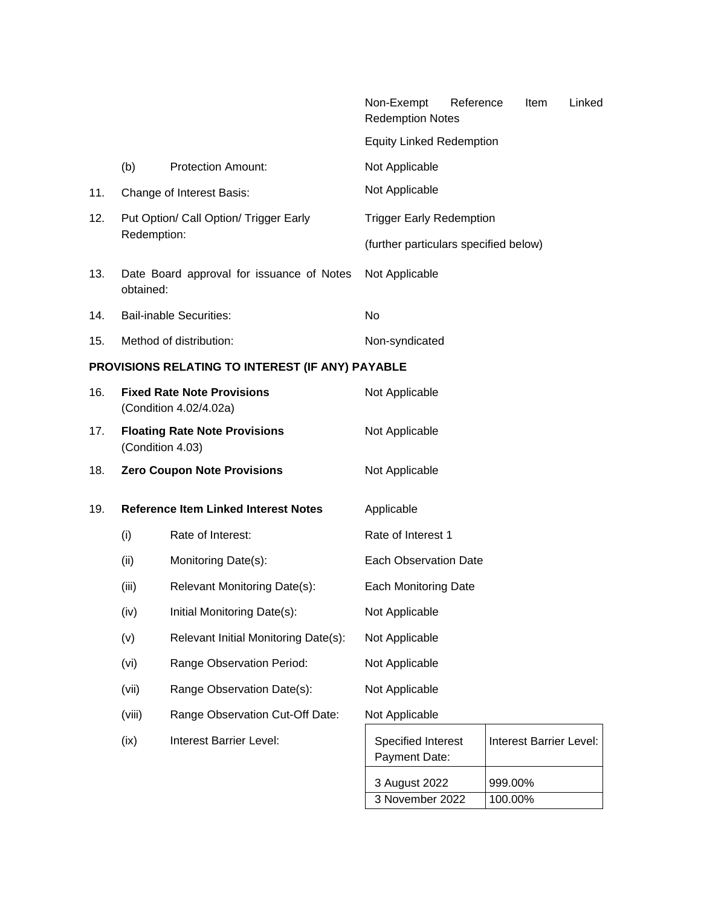|     |                                                             |                                                  | Non-Exempt<br><b>Redemption Notes</b> | Reference | Item    | Linked                  |
|-----|-------------------------------------------------------------|--------------------------------------------------|---------------------------------------|-----------|---------|-------------------------|
|     |                                                             |                                                  | <b>Equity Linked Redemption</b>       |           |         |                         |
|     | (b)                                                         | <b>Protection Amount:</b>                        | Not Applicable                        |           |         |                         |
| 11. |                                                             | Change of Interest Basis:                        | Not Applicable                        |           |         |                         |
| 12. |                                                             | Put Option/ Call Option/ Trigger Early           | <b>Trigger Early Redemption</b>       |           |         |                         |
|     | Redemption:                                                 |                                                  | (further particulars specified below) |           |         |                         |
| 13. | obtained:                                                   | Date Board approval for issuance of Notes        | Not Applicable                        |           |         |                         |
| 14. |                                                             | <b>Bail-inable Securities:</b>                   | No                                    |           |         |                         |
| 15. |                                                             | Method of distribution:                          | Non-syndicated                        |           |         |                         |
|     |                                                             | PROVISIONS RELATING TO INTEREST (IF ANY) PAYABLE |                                       |           |         |                         |
| 16. | <b>Fixed Rate Note Provisions</b><br>(Condition 4.02/4.02a) |                                                  | Not Applicable                        |           |         |                         |
| 17. | <b>Floating Rate Note Provisions</b><br>(Condition 4.03)    |                                                  | Not Applicable                        |           |         |                         |
| 18. | <b>Zero Coupon Note Provisions</b>                          |                                                  | Not Applicable                        |           |         |                         |
| 19. |                                                             | <b>Reference Item Linked Interest Notes</b>      | Applicable                            |           |         |                         |
|     | (i)                                                         | Rate of Interest:                                | Rate of Interest 1                    |           |         |                         |
|     | (ii)                                                        | Monitoring Date(s):                              | <b>Each Observation Date</b>          |           |         |                         |
|     | (iii)                                                       | Relevant Monitoring Date(s):                     | <b>Each Monitoring Date</b>           |           |         |                         |
|     | (iv)                                                        | Initial Monitoring Date(s):                      | Not Applicable                        |           |         |                         |
|     | (v)                                                         | Relevant Initial Monitoring Date(s):             | Not Applicable                        |           |         |                         |
|     | (vi)                                                        | Range Observation Period:                        | Not Applicable                        |           |         |                         |
|     | (vii)                                                       | Range Observation Date(s):                       | Not Applicable                        |           |         |                         |
|     | (viii)                                                      | Range Observation Cut-Off Date:                  | Not Applicable                        |           |         |                         |
|     | (ix)                                                        | Interest Barrier Level:                          | Specified Interest<br>Payment Date:   |           |         | Interest Barrier Level: |
|     |                                                             |                                                  | 3 August 2022                         |           | 999.00% |                         |

3 November 2022 100.00%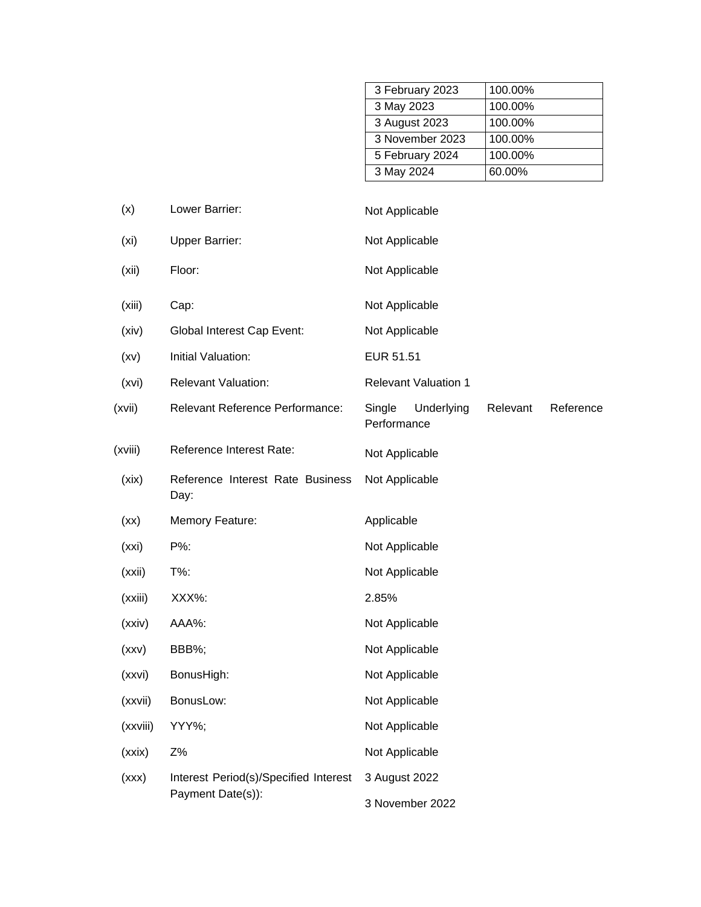| 3 February 2023 | 100.00% |
|-----------------|---------|
| 3 May 2023      | 100.00% |
| 3 August 2023   | 100.00% |
| 3 November 2023 | 100.00% |
| 5 February 2024 | 100.00% |
| 3 May 2024      | 60.00%  |

| (x)               | Lower Barrier:                           | Not Applicable                                               |
|-------------------|------------------------------------------|--------------------------------------------------------------|
| (x <sub>i</sub> ) | <b>Upper Barrier:</b>                    | Not Applicable                                               |
| (xii)             | Floor:                                   | Not Applicable                                               |
| (xiii)            | Cap:                                     | Not Applicable                                               |
| (xiv)             | <b>Global Interest Cap Event:</b>        | Not Applicable                                               |
| (xv)              | Initial Valuation:                       | EUR 51.51                                                    |
| (xvi)             | <b>Relevant Valuation:</b>               | <b>Relevant Valuation 1</b>                                  |
| (xvii)            | Relevant Reference Performance:          | Single<br>Underlying<br>Relevant<br>Reference<br>Performance |
| (xviii)           | Reference Interest Rate:                 | Not Applicable                                               |
| (xix)             | Reference Interest Rate Business<br>Day: | Not Applicable                                               |
| (xx)              | Memory Feature:                          | Applicable                                                   |
| (xxi)             | P%:                                      | Not Applicable                                               |
| (xxi)             | T%:                                      | Not Applicable                                               |
| (xxiii)           | XXX%:                                    | 2.85%                                                        |
| (xxiv)            | AAA%:                                    | Not Applicable                                               |
| (xxv)             | BBB%;                                    | Not Applicable                                               |
| (xxvi)            | BonusHigh:                               | Not Applicable                                               |
| (xxvii)           | BonusLow:                                | Not Applicable                                               |
| (xxviii)          | YYY%;                                    | Not Applicable                                               |
| (xxix)            | Z%                                       | Not Applicable                                               |
| (xxx)             | Interest Period(s)/Specified Interest    | 3 August 2022                                                |
|                   | Payment Date(s)):                        | 3 November 2022                                              |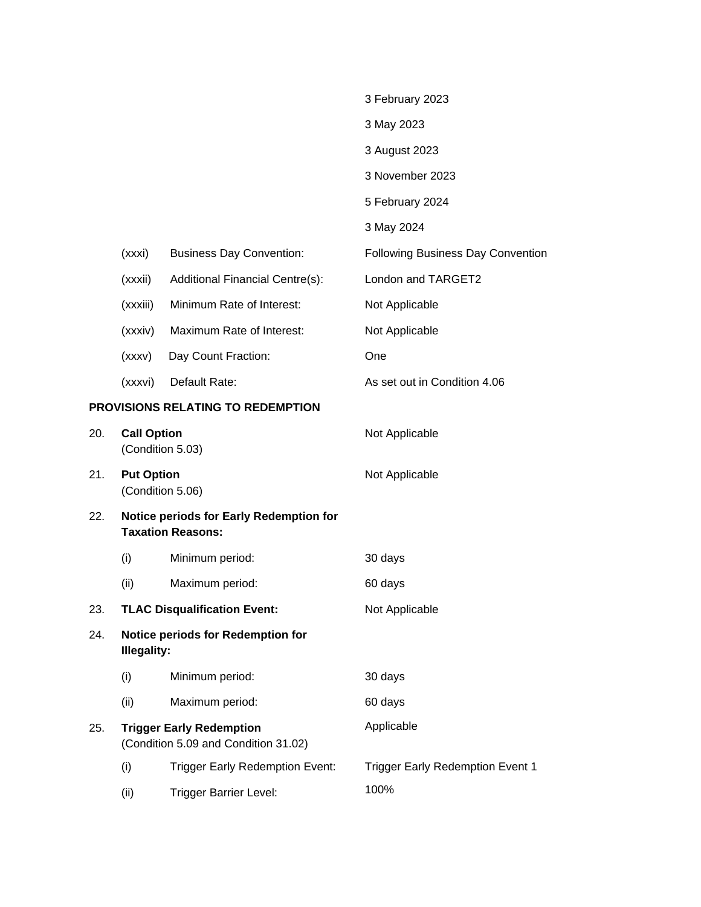|     |                                        |                                                                         | 3 February 2023                          |
|-----|----------------------------------------|-------------------------------------------------------------------------|------------------------------------------|
|     |                                        |                                                                         | 3 May 2023                               |
|     |                                        |                                                                         | 3 August 2023                            |
|     |                                        |                                                                         | 3 November 2023                          |
|     |                                        |                                                                         | 5 February 2024                          |
|     |                                        |                                                                         | 3 May 2024                               |
|     | (xxxi)                                 | <b>Business Day Convention:</b>                                         | <b>Following Business Day Convention</b> |
|     | (xxxii)                                | <b>Additional Financial Centre(s):</b>                                  | London and TARGET2                       |
|     | (xxxiii)                               | Minimum Rate of Interest:                                               | Not Applicable                           |
|     | (xxxiv)                                | Maximum Rate of Interest:                                               | Not Applicable                           |
|     | (xxxv)                                 | Day Count Fraction:                                                     | One                                      |
|     | (xxxvi)                                | Default Rate:                                                           | As set out in Condition 4.06             |
|     |                                        | <b>PROVISIONS RELATING TO REDEMPTION</b>                                |                                          |
| 20. | <b>Call Option</b><br>(Condition 5.03) |                                                                         | Not Applicable                           |
| 21. | <b>Put Option</b>                      | (Condition 5.06)                                                        | Not Applicable                           |
| 22. |                                        | Notice periods for Early Redemption for<br><b>Taxation Reasons:</b>     |                                          |
|     | (i)                                    | Minimum period:                                                         | 30 days                                  |
|     | (ii)                                   | Maximum period:                                                         | 60 days                                  |
| 23. |                                        | <b>TLAC Disqualification Event:</b>                                     | Not Applicable                           |
| 24. | <b>Illegality:</b>                     | Notice periods for Redemption for                                       |                                          |
|     | (i)                                    | Minimum period:                                                         | 30 days                                  |
|     | (ii)                                   | Maximum period:                                                         | 60 days                                  |
| 25. |                                        | <b>Trigger Early Redemption</b><br>(Condition 5.09 and Condition 31.02) | Applicable                               |
|     | (i)                                    | <b>Trigger Early Redemption Event:</b>                                  | <b>Trigger Early Redemption Event 1</b>  |
|     | (ii)                                   | <b>Trigger Barrier Level:</b>                                           | 100%                                     |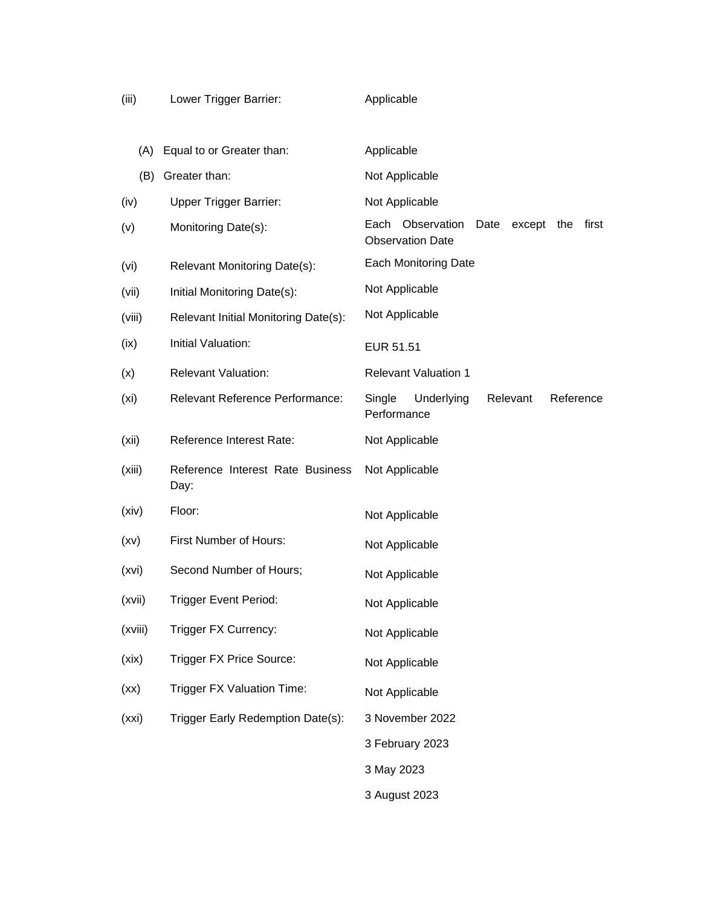| (iii)   | Lower Trigger Barrier:                   | Applicable                                                                    |
|---------|------------------------------------------|-------------------------------------------------------------------------------|
| (A)     | Equal to or Greater than:                | Applicable                                                                    |
| (B)     | Greater than:                            | Not Applicable                                                                |
| (iv)    | <b>Upper Trigger Barrier:</b>            | Not Applicable                                                                |
| (v)     | Monitoring Date(s):                      | Each Observation<br>Date<br>except<br>the<br>first<br><b>Observation Date</b> |
| (vi)    | Relevant Monitoring Date(s):             | <b>Each Monitoring Date</b>                                                   |
| (vii)   | Initial Monitoring Date(s):              | Not Applicable                                                                |
| (viii)  | Relevant Initial Monitoring Date(s):     | Not Applicable                                                                |
| (ix)    | Initial Valuation:                       | <b>EUR 51.51</b>                                                              |
| (x)     | <b>Relevant Valuation:</b>               | <b>Relevant Valuation 1</b>                                                   |
| (xi)    | Relevant Reference Performance:          | Reference<br>Single<br>Underlying<br>Relevant<br>Performance                  |
| (xii)   | Reference Interest Rate:                 | Not Applicable                                                                |
| (xiii)  | Reference Interest Rate Business<br>Day: | Not Applicable                                                                |
| (xiv)   | Floor:                                   | Not Applicable                                                                |
| (xv)    | First Number of Hours:                   | Not Applicable                                                                |
| (xvi)   | Second Number of Hours;                  | Not Applicable                                                                |
| (xvii)  | <b>Trigger Event Period:</b>             | Not Applicable                                                                |
| (xviii) | Trigger FX Currency:                     | Not Applicable                                                                |
| (xix)   | Trigger FX Price Source:                 | Not Applicable                                                                |
| (xx)    | <b>Trigger FX Valuation Time:</b>        | Not Applicable                                                                |
| (xxi)   | Trigger Early Redemption Date(s):        | 3 November 2022                                                               |
|         |                                          | 3 February 2023                                                               |
|         |                                          | 3 May 2023                                                                    |
|         |                                          | 3 August 2023                                                                 |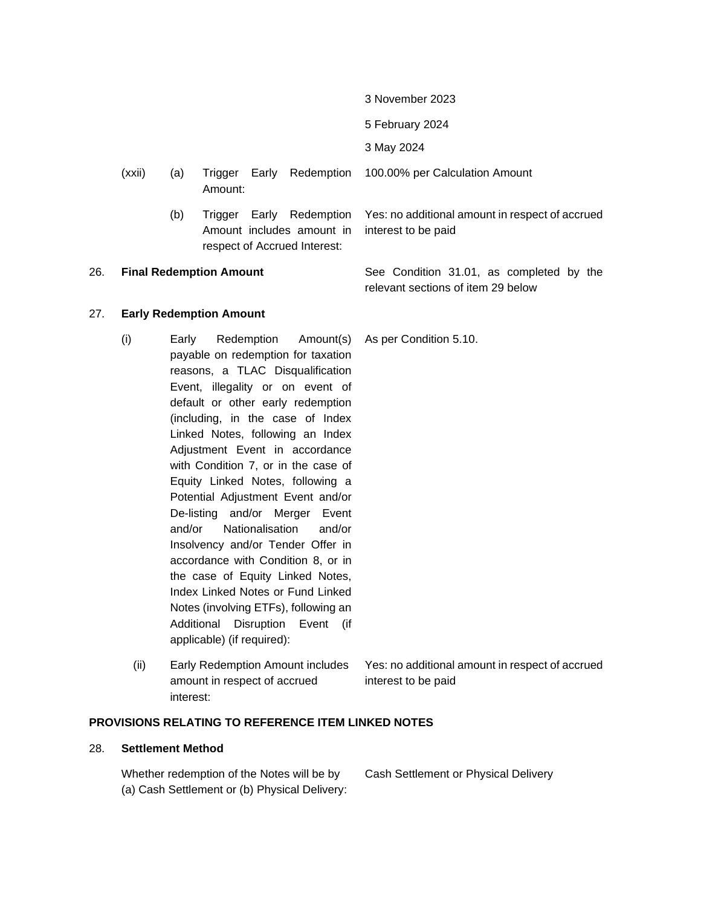- 3 November 2023
- 5 February 2024
- 3 May 2024
- (xxii) (a) Trigger Early Redemption Amount: 100.00% per Calculation Amount
	- (b) Trigger Early Redemption Amount includes amount in respect of Accrued Interest:

<span id="page-7-0"></span>26. **Final Redemption Amount** See Condition 31.01, as completed by the

relevant sections of item 29 below

- 27. **Early Redemption Amount**
	- (i) Early Redemption Amount(s) payable on redemption for taxation reasons, a TLAC Disqualification Event, illegality or on event of default or other early redemption (including, in the case of Index Linked Notes, following an Index Adjustment Event in accordance with Condition 7, or in the case of Equity Linked Notes, following a Potential Adjustment Event and/or De-listing and/or Merger Event and/or Nationalisation and/or Insolvency and/or Tender Offer in accordance with Condition 8, or in the case of Equity Linked Notes, Index Linked Notes or Fund Linked Notes (involving ETFs), following an Additional Disruption Event (if applicable) (if required):
		- (ii) Early Redemption Amount includes amount in respect of accrued interest: Yes: no additional amount in respect of accrued interest to be paid

#### **PROVISIONS RELATING TO REFERENCE ITEM LINKED NOTES**

#### 28. **Settlement Method**

Whether redemption of the Notes will be by (a) Cash Settlement or (b) Physical Delivery: Cash Settlement or Physical Delivery

#### As per Condition 5.10.

Yes: no additional amount in respect of accrued

interest to be paid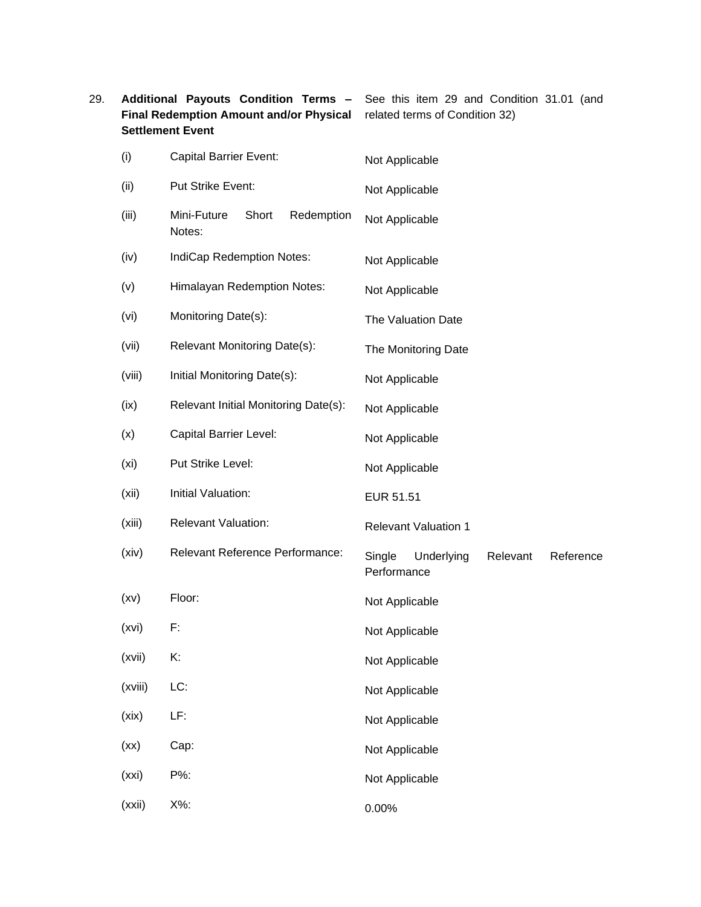<span id="page-8-0"></span>

| 29. |                   | Additional Payouts Condition Terms -<br><b>Final Redemption Amount and/or Physical</b><br><b>Settlement Event</b> | See this item 29 and Condition 31.01 (and<br>related terms of Condition 32) |
|-----|-------------------|-------------------------------------------------------------------------------------------------------------------|-----------------------------------------------------------------------------|
|     | (i)               | <b>Capital Barrier Event:</b>                                                                                     | Not Applicable                                                              |
|     | (ii)              | Put Strike Event:                                                                                                 | Not Applicable                                                              |
|     | (iii)             | Mini-Future<br>Redemption<br>Short<br>Notes:                                                                      | Not Applicable                                                              |
|     | (iv)              | IndiCap Redemption Notes:                                                                                         | Not Applicable                                                              |
|     | (v)               | <b>Himalayan Redemption Notes:</b>                                                                                | Not Applicable                                                              |
|     | (vi)              | Monitoring Date(s):                                                                                               | The Valuation Date                                                          |
|     | (vii)             | Relevant Monitoring Date(s):                                                                                      | The Monitoring Date                                                         |
|     | (viii)            | Initial Monitoring Date(s):                                                                                       | Not Applicable                                                              |
|     | (ix)              | Relevant Initial Monitoring Date(s):                                                                              | Not Applicable                                                              |
|     | (x)               | Capital Barrier Level:                                                                                            | Not Applicable                                                              |
|     | (x <sub>i</sub> ) | Put Strike Level:                                                                                                 | Not Applicable                                                              |
|     | (xii)             | Initial Valuation:                                                                                                | EUR 51.51                                                                   |
|     | (xiii)            | <b>Relevant Valuation:</b>                                                                                        | <b>Relevant Valuation 1</b>                                                 |
|     | (xiv)             | Relevant Reference Performance:                                                                                   | Single<br>Underlying<br>Relevant<br>Reference<br>Performance                |
|     | (xv)              | Floor:                                                                                                            | Not Applicable                                                              |
|     | (xvi)             | F:                                                                                                                | Not Applicable                                                              |
|     | (xvii)            | K:                                                                                                                | Not Applicable                                                              |
|     | (xviii)           | LC:                                                                                                               | Not Applicable                                                              |
|     | (xix)             | LF:                                                                                                               | Not Applicable                                                              |
|     | (xx)              | Cap:                                                                                                              | Not Applicable                                                              |
|     | (xxi)             | P%:                                                                                                               | Not Applicable                                                              |
|     | (xxii)            | X%:                                                                                                               | 0.00%                                                                       |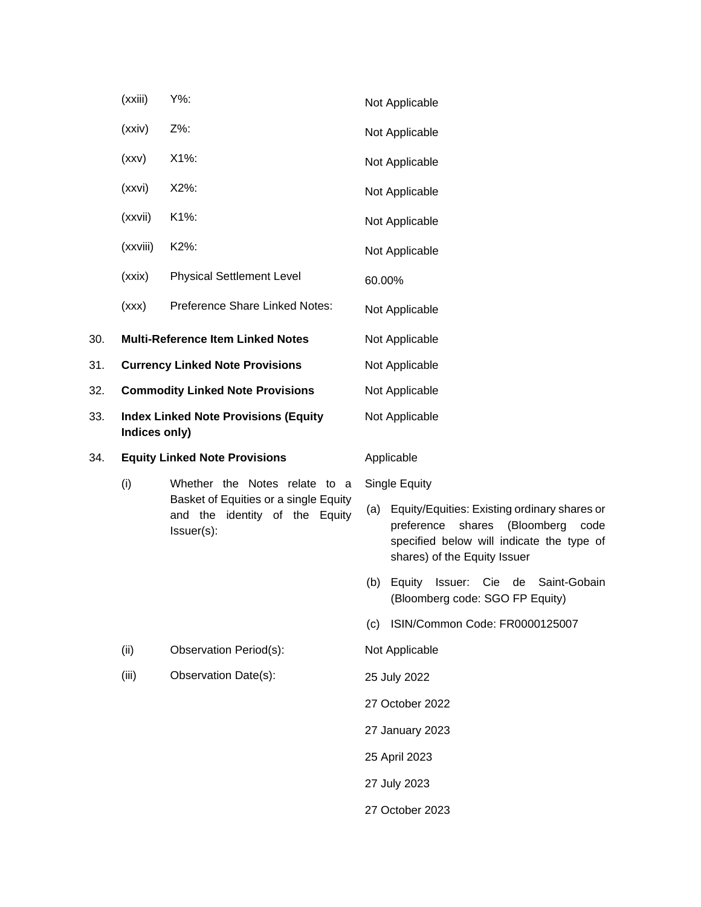|     | (xxiii)                                                      | Y%:                                                                                   |                | Not Applicable                                                                                                                                                          |  |
|-----|--------------------------------------------------------------|---------------------------------------------------------------------------------------|----------------|-------------------------------------------------------------------------------------------------------------------------------------------------------------------------|--|
|     | (xxiv)                                                       | Z%:                                                                                   |                | Not Applicable                                                                                                                                                          |  |
|     | (xxv)                                                        | X1%:                                                                                  |                | Not Applicable                                                                                                                                                          |  |
|     | (xxvi)                                                       | X2%:                                                                                  |                | Not Applicable                                                                                                                                                          |  |
|     | (xxvii)                                                      | K1%:                                                                                  |                | Not Applicable                                                                                                                                                          |  |
|     | (xxviii)                                                     | K2%:                                                                                  |                | Not Applicable                                                                                                                                                          |  |
|     | (xxix)                                                       | <b>Physical Settlement Level</b>                                                      | 60.00%         |                                                                                                                                                                         |  |
|     | (xxx)                                                        | Preference Share Linked Notes:                                                        |                | Not Applicable                                                                                                                                                          |  |
| 30. |                                                              | <b>Multi-Reference Item Linked Notes</b>                                              |                | Not Applicable                                                                                                                                                          |  |
| 31. | <b>Currency Linked Note Provisions</b>                       |                                                                                       |                | Not Applicable                                                                                                                                                          |  |
| 32. |                                                              | <b>Commodity Linked Note Provisions</b>                                               |                | Not Applicable                                                                                                                                                          |  |
| 33. | <b>Index Linked Note Provisions (Equity</b><br>Indices only) |                                                                                       | Not Applicable |                                                                                                                                                                         |  |
| 34. | <b>Equity Linked Note Provisions</b>                         |                                                                                       | Applicable     |                                                                                                                                                                         |  |
|     | (i)                                                          | Whether the Notes relate to a                                                         |                | Single Equity                                                                                                                                                           |  |
|     |                                                              | Basket of Equities or a single Equity<br>and the identity of the Equity<br>Issuer(s): | (a)            | Equity/Equities: Existing ordinary shares or<br>(Bloomberg<br>preference<br>shares<br>code<br>specified below will indicate the type of<br>shares) of the Equity Issuer |  |
|     |                                                              |                                                                                       | (b)            | Issuer:<br>Cie de<br>Saint-Gobain<br>Equity<br>(Bloomberg code: SGO FP Equity)                                                                                          |  |
|     |                                                              |                                                                                       | (c)            | ISIN/Common Code: FR0000125007                                                                                                                                          |  |
|     | (ii)                                                         | Observation Period(s):                                                                |                | Not Applicable                                                                                                                                                          |  |
|     | (iii)                                                        | Observation Date(s):                                                                  |                | 25 July 2022                                                                                                                                                            |  |
|     |                                                              |                                                                                       |                | 27 October 2022                                                                                                                                                         |  |
|     |                                                              |                                                                                       |                | 27 January 2023                                                                                                                                                         |  |
|     |                                                              |                                                                                       |                | 25 April 2023                                                                                                                                                           |  |
|     |                                                              |                                                                                       |                | 27 July 2023                                                                                                                                                            |  |
|     |                                                              |                                                                                       |                | 27 October 2023                                                                                                                                                         |  |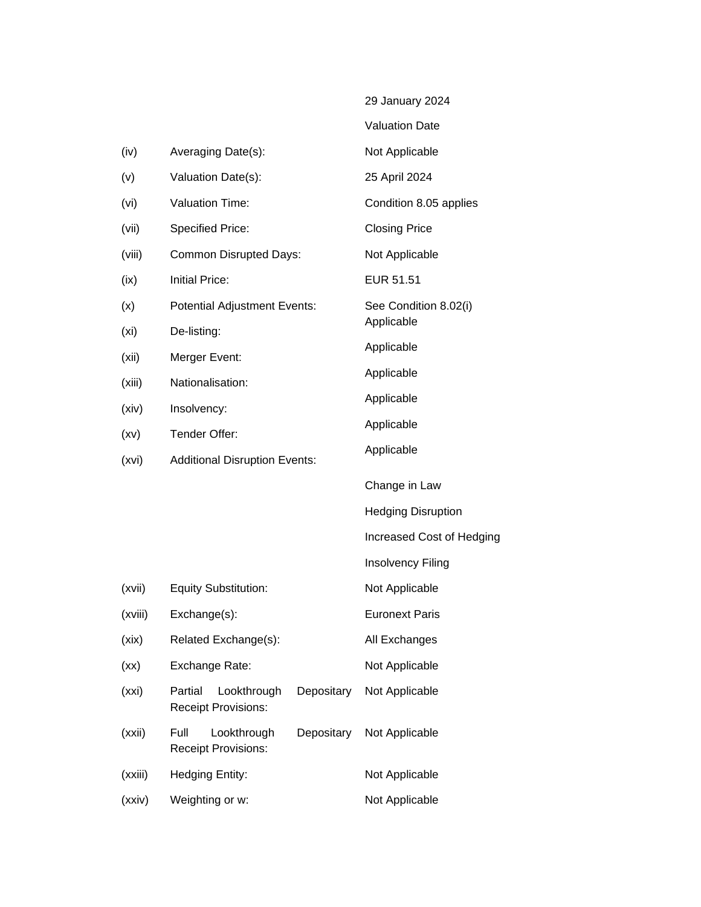|         |                                                   |            | 29 January 2024                     |
|---------|---------------------------------------------------|------------|-------------------------------------|
|         |                                                   |            | <b>Valuation Date</b>               |
| (iv)    | Averaging Date(s):                                |            | Not Applicable                      |
| (v)     | Valuation Date(s):                                |            | 25 April 2024                       |
| (vi)    | <b>Valuation Time:</b>                            |            | Condition 8.05 applies              |
| (vii)   | <b>Specified Price:</b>                           |            | <b>Closing Price</b>                |
| (viii)  | <b>Common Disrupted Days:</b>                     |            | Not Applicable                      |
| (ix)    | <b>Initial Price:</b>                             |            | EUR 51.51                           |
| (x)     | <b>Potential Adjustment Events:</b>               |            | See Condition 8.02(i)<br>Applicable |
| (xi)    | De-listing:                                       |            | Applicable                          |
| (xii)   | Merger Event:                                     |            | Applicable                          |
| (xiii)  | Nationalisation:                                  |            | Applicable                          |
| (xiv)   | Insolvency:                                       |            | Applicable                          |
| (xv)    | Tender Offer:                                     |            | Applicable                          |
| (xvi)   | <b>Additional Disruption Events:</b>              |            |                                     |
|         |                                                   |            | Change in Law                       |
|         |                                                   |            | <b>Hedging Disruption</b>           |
|         |                                                   |            | Increased Cost of Hedging           |
|         |                                                   |            | <b>Insolvency Filing</b>            |
| (xvii)  | <b>Equity Substitution:</b>                       |            | Not Applicable                      |
| (xviii) | Exchange(s):                                      |            | <b>Euronext Paris</b>               |
| (xix)   | Related Exchange(s):                              |            | All Exchanges                       |
| (xx)    | Exchange Rate:                                    |            | Not Applicable                      |
| (xxi)   | Partial<br>Lookthrough<br>Receipt Provisions:     | Depositary | Not Applicable                      |
| (xxii)  | Full<br>Lookthrough<br><b>Receipt Provisions:</b> | Depositary | Not Applicable                      |
| (xxiii) | Hedging Entity:                                   |            | Not Applicable                      |
| (xxiv)  | Weighting or w:                                   |            | Not Applicable                      |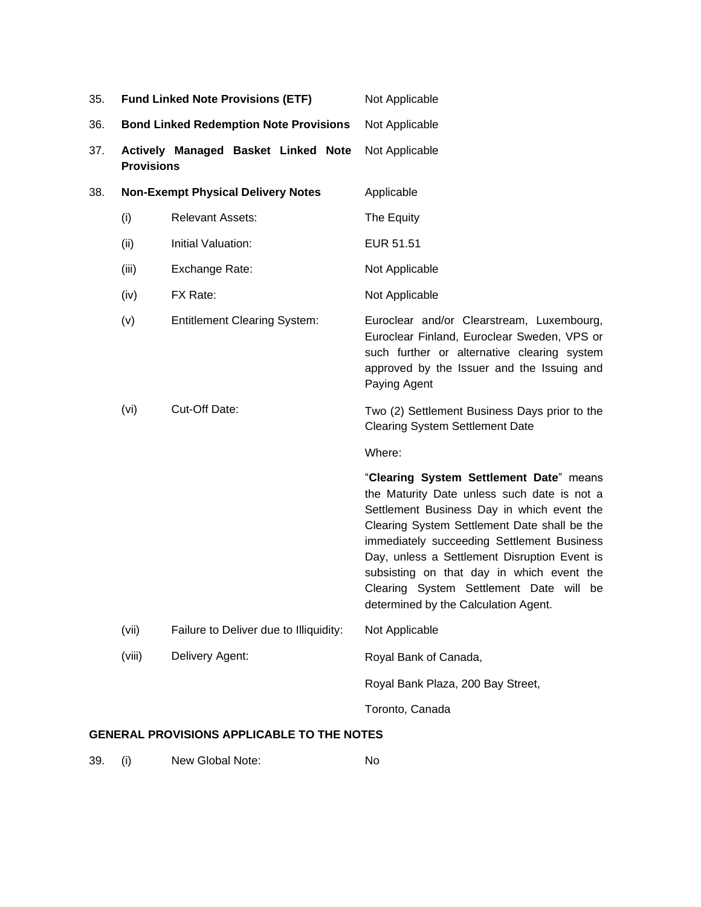| 35. | <b>Fund Linked Note Provisions (ETF)</b> |                                               | Not Applicable                                                                                                                                                                                                                                                                                                                                                                                                     |
|-----|------------------------------------------|-----------------------------------------------|--------------------------------------------------------------------------------------------------------------------------------------------------------------------------------------------------------------------------------------------------------------------------------------------------------------------------------------------------------------------------------------------------------------------|
| 36. |                                          | <b>Bond Linked Redemption Note Provisions</b> | Not Applicable                                                                                                                                                                                                                                                                                                                                                                                                     |
| 37. | <b>Provisions</b>                        | Actively Managed Basket Linked Note           | Not Applicable                                                                                                                                                                                                                                                                                                                                                                                                     |
| 38. |                                          | <b>Non-Exempt Physical Delivery Notes</b>     | Applicable                                                                                                                                                                                                                                                                                                                                                                                                         |
|     | (i)                                      | <b>Relevant Assets:</b>                       | The Equity                                                                                                                                                                                                                                                                                                                                                                                                         |
|     | (ii)                                     | Initial Valuation:                            | EUR 51.51                                                                                                                                                                                                                                                                                                                                                                                                          |
|     | (iii)                                    | Exchange Rate:                                | Not Applicable                                                                                                                                                                                                                                                                                                                                                                                                     |
|     | (iv)                                     | FX Rate:                                      | Not Applicable                                                                                                                                                                                                                                                                                                                                                                                                     |
|     | (v)                                      | <b>Entitlement Clearing System:</b>           | Euroclear and/or Clearstream, Luxembourg,<br>Euroclear Finland, Euroclear Sweden, VPS or<br>such further or alternative clearing system<br>approved by the Issuer and the Issuing and<br>Paying Agent                                                                                                                                                                                                              |
|     | (vi)                                     | Cut-Off Date:                                 | Two (2) Settlement Business Days prior to the<br><b>Clearing System Settlement Date</b>                                                                                                                                                                                                                                                                                                                            |
|     |                                          |                                               | Where:                                                                                                                                                                                                                                                                                                                                                                                                             |
|     |                                          |                                               | "Clearing System Settlement Date" means<br>the Maturity Date unless such date is not a<br>Settlement Business Day in which event the<br>Clearing System Settlement Date shall be the<br>immediately succeeding Settlement Business<br>Day, unless a Settlement Disruption Event is<br>subsisting on that day in which event the<br>Clearing System Settlement Date will be<br>determined by the Calculation Agent. |
|     | (vii)                                    | Failure to Deliver due to Illiquidity:        | Not Applicable                                                                                                                                                                                                                                                                                                                                                                                                     |
|     | (viii)                                   | Delivery Agent:                               | Royal Bank of Canada,                                                                                                                                                                                                                                                                                                                                                                                              |
|     |                                          |                                               | Royal Bank Plaza, 200 Bay Street,                                                                                                                                                                                                                                                                                                                                                                                  |
|     |                                          |                                               | Toronto, Canada                                                                                                                                                                                                                                                                                                                                                                                                    |

## **GENERAL PROVISIONS APPLICABLE TO THE NOTES**

| 39. | New Global Note: | No |
|-----|------------------|----|
|-----|------------------|----|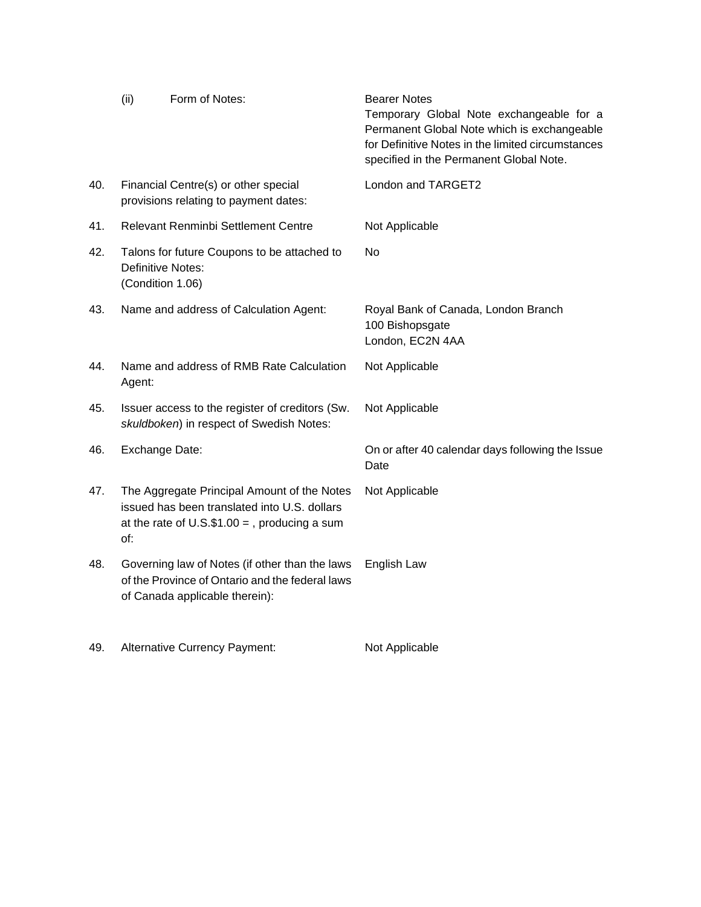|     | (ii)             | Form of Notes:                                                                                                                                   | <b>Bearer Notes</b><br>Temporary Global Note exchangeable for a<br>Permanent Global Note which is exchangeable<br>for Definitive Notes in the limited circumstances<br>specified in the Permanent Global Note. |
|-----|------------------|--------------------------------------------------------------------------------------------------------------------------------------------------|----------------------------------------------------------------------------------------------------------------------------------------------------------------------------------------------------------------|
| 40. |                  | Financial Centre(s) or other special<br>provisions relating to payment dates:                                                                    | London and TARGET2                                                                                                                                                                                             |
| 41. |                  | Relevant Renminbi Settlement Centre                                                                                                              | Not Applicable                                                                                                                                                                                                 |
| 42. | (Condition 1.06) | Talons for future Coupons to be attached to<br><b>Definitive Notes:</b>                                                                          | No                                                                                                                                                                                                             |
| 43. |                  | Name and address of Calculation Agent:                                                                                                           | Royal Bank of Canada, London Branch<br>100 Bishopsgate<br>London, EC2N 4AA                                                                                                                                     |
| 44. | Agent:           | Name and address of RMB Rate Calculation                                                                                                         | Not Applicable                                                                                                                                                                                                 |
| 45. |                  | Issuer access to the register of creditors (Sw.<br>skuldboken) in respect of Swedish Notes:                                                      | Not Applicable                                                                                                                                                                                                 |
| 46. | Exchange Date:   |                                                                                                                                                  | On or after 40 calendar days following the Issue<br>Date                                                                                                                                                       |
| 47. | of:              | The Aggregate Principal Amount of the Notes<br>issued has been translated into U.S. dollars<br>at the rate of $U.S.\$ \$1.00 = , producing a sum | Not Applicable                                                                                                                                                                                                 |
| 48. |                  | Governing law of Notes (if other than the laws<br>of the Province of Ontario and the federal laws<br>of Canada applicable therein):              | English Law                                                                                                                                                                                                    |

49. Alternative Currency Payment: Not Applicable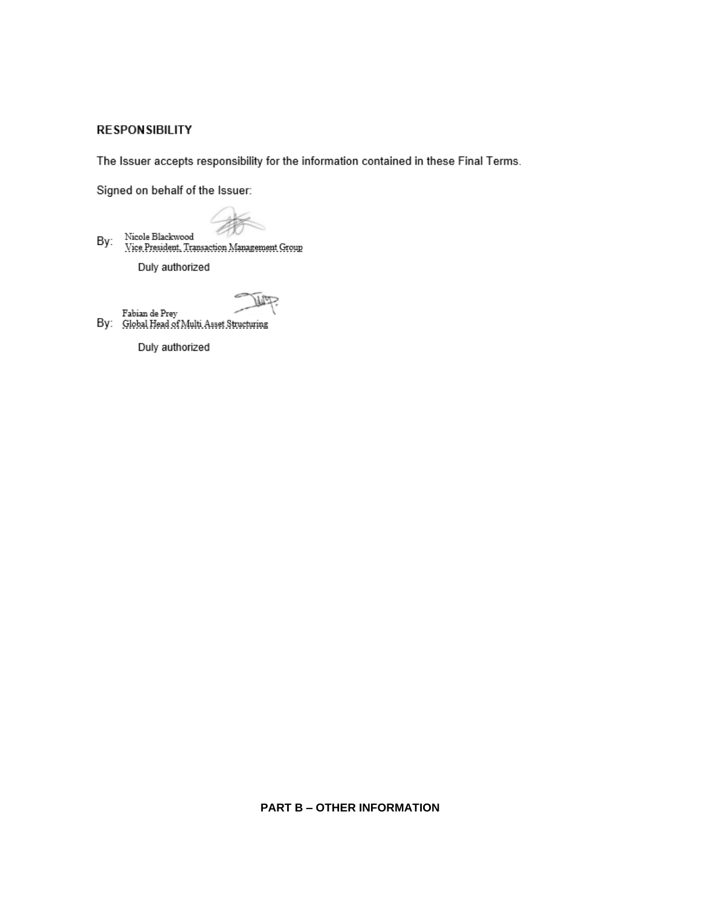## **RESPONSIBILITY**

The Issuer accepts responsibility for the information contained in these Final Terms.

Signed on behalf of the Issuer:

Nicole Blackwood<br>Vice President, Transaction Management Group By: Duly authorized

Fabian de Prey<br>By: Global Head of Multi Asset Structuring

Duly authorized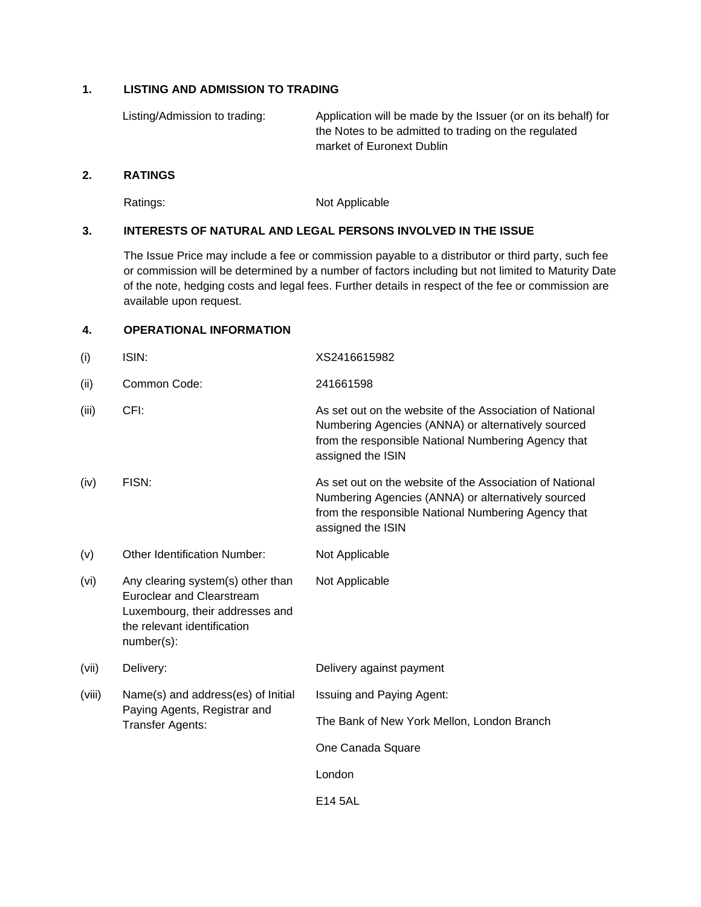## **1. LISTING AND ADMISSION TO TRADING**

Listing/Admission to trading: Application will be made by the Issuer (or on its behalf) for the Notes to be admitted to trading on the regulated market of Euronext Dublin

#### **2. RATINGS**

Ratings: Not Applicable

### **3. INTERESTS OF NATURAL AND LEGAL PERSONS INVOLVED IN THE ISSUE**

The Issue Price may include a fee or commission payable to a distributor or third party, such fee or commission will be determined by a number of factors including but not limited to Maturity Date of the note, hedging costs and legal fees. Further details in respect of the fee or commission are available upon request.

## **4. OPERATIONAL INFORMATION**

| (i)    | ISIN:                                                                                                                                                 | XS2416615982                                                                                                                                                                               |
|--------|-------------------------------------------------------------------------------------------------------------------------------------------------------|--------------------------------------------------------------------------------------------------------------------------------------------------------------------------------------------|
| (ii)   | Common Code:                                                                                                                                          | 241661598                                                                                                                                                                                  |
| (iii)  | CFI:                                                                                                                                                  | As set out on the website of the Association of National<br>Numbering Agencies (ANNA) or alternatively sourced<br>from the responsible National Numbering Agency that<br>assigned the ISIN |
| (iv)   | FISN:                                                                                                                                                 | As set out on the website of the Association of National<br>Numbering Agencies (ANNA) or alternatively sourced<br>from the responsible National Numbering Agency that<br>assigned the ISIN |
| (v)    | <b>Other Identification Number:</b>                                                                                                                   | Not Applicable                                                                                                                                                                             |
| (vi)   | Any clearing system(s) other than<br><b>Euroclear and Clearstream</b><br>Luxembourg, their addresses and<br>the relevant identification<br>number(s): | Not Applicable                                                                                                                                                                             |
| (vii)  | Delivery:                                                                                                                                             | Delivery against payment                                                                                                                                                                   |
| (viii) | Name(s) and address(es) of Initial<br>Paying Agents, Registrar and<br><b>Transfer Agents:</b>                                                         | <b>Issuing and Paying Agent:</b>                                                                                                                                                           |
|        |                                                                                                                                                       | The Bank of New York Mellon, London Branch                                                                                                                                                 |
|        |                                                                                                                                                       | One Canada Square                                                                                                                                                                          |
|        |                                                                                                                                                       | London                                                                                                                                                                                     |
|        |                                                                                                                                                       | E14 5AL                                                                                                                                                                                    |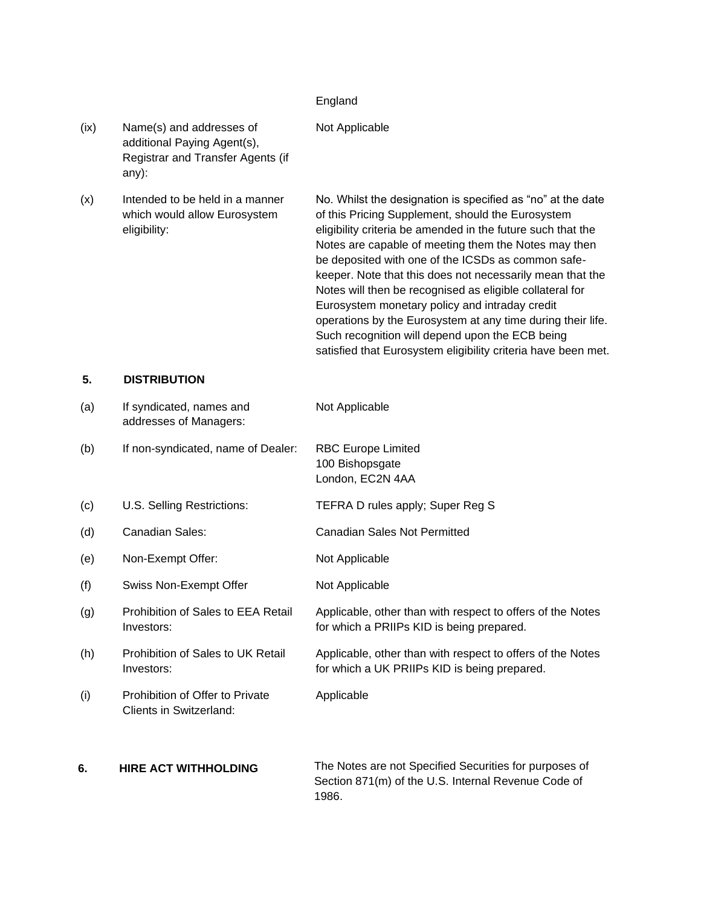#### England

## Not Applicable

- (ix) Name(s) and addresses of additional Paying Agent(s), Registrar and Transfer Agents (if any):
- (x) Intended to be held in a manner which would allow Eurosystem eligibility:

No. Whilst the designation is specified as "no" at the date of this Pricing Supplement, should the Eurosystem eligibility criteria be amended in the future such that the Notes are capable of meeting them the Notes may then be deposited with one of the ICSDs as common safekeeper. Note that this does not necessarily mean that the Notes will then be recognised as eligible collateral for Eurosystem monetary policy and intraday credit operations by the Eurosystem at any time during their life. Such recognition will depend upon the ECB being satisfied that Eurosystem eligibility criteria have been met.

## **5. DISTRIBUTION**

| (a) | If syndicated, names and<br>addresses of Managers:         | Not Applicable                                                                                                         |
|-----|------------------------------------------------------------|------------------------------------------------------------------------------------------------------------------------|
| (b) | If non-syndicated, name of Dealer:                         | <b>RBC Europe Limited</b><br>100 Bishopsgate<br>London, EC2N 4AA                                                       |
| (c) | U.S. Selling Restrictions:                                 | TEFRA D rules apply; Super Reg S                                                                                       |
| (d) | <b>Canadian Sales:</b>                                     | <b>Canadian Sales Not Permitted</b>                                                                                    |
| (e) | Non-Exempt Offer:                                          | Not Applicable                                                                                                         |
| (f) | <b>Swiss Non-Exempt Offer</b>                              | Not Applicable                                                                                                         |
| (g) | Prohibition of Sales to EEA Retail<br>Investors:           | Applicable, other than with respect to offers of the Notes<br>for which a PRIIPs KID is being prepared.                |
| (h) | Prohibition of Sales to UK Retail<br>Investors:            | Applicable, other than with respect to offers of the Notes<br>for which a UK PRIIPs KID is being prepared.             |
| (i) | Prohibition of Offer to Private<br>Clients in Switzerland: | Applicable                                                                                                             |
| 6.  | <b>HIRE ACT WITHHOLDING</b>                                | The Notes are not Specified Securities for purposes of<br>Section 871(m) of the U.S. Internal Revenue Code of<br>1986. |